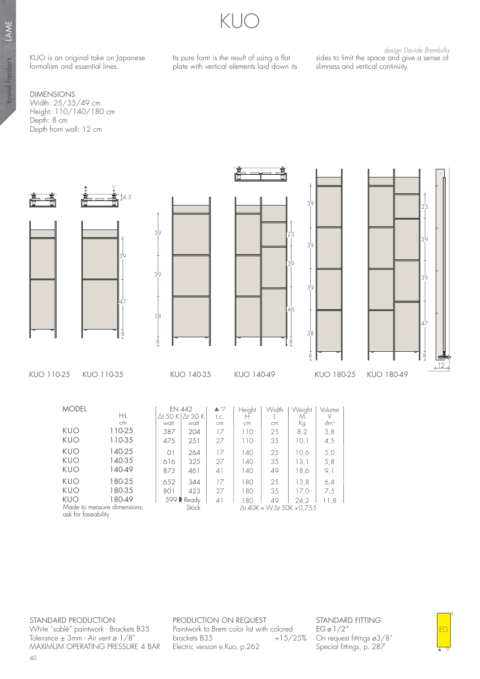KUO is an original take on Japanese formalism and essential lines.

DIMENSIONS Width: 25/35/49 cm Height: 110/140/180 cm Depth: 8 cm Depth from wall: 12 cm



Its pure form is the result of using a flat plate with vertical elements laid down its

 design Davide Brembilla sides to limit the space and give a sense of slimness and vertical continuity.



STANDARD PRODUCTION White "sablé" paintwork - Brackets B35 Tolerance  $\pm$  3mm - Air vent ø 1/8" MAXIMUM OPERATING PRESSURE 4 BAR

ask for faseability

PRODUCTION ON REQUEST Paintwork to Brem color list with colored<br>brackets B35 +15/25% brackets B35 Electric version e.Kuo, p.262

∆t 40K = W ∆t 50K x 0,755

STANDARD FITTING  $EG \varnothing$  1/2" On request fittings ø3/8" Special fittings, p. 287